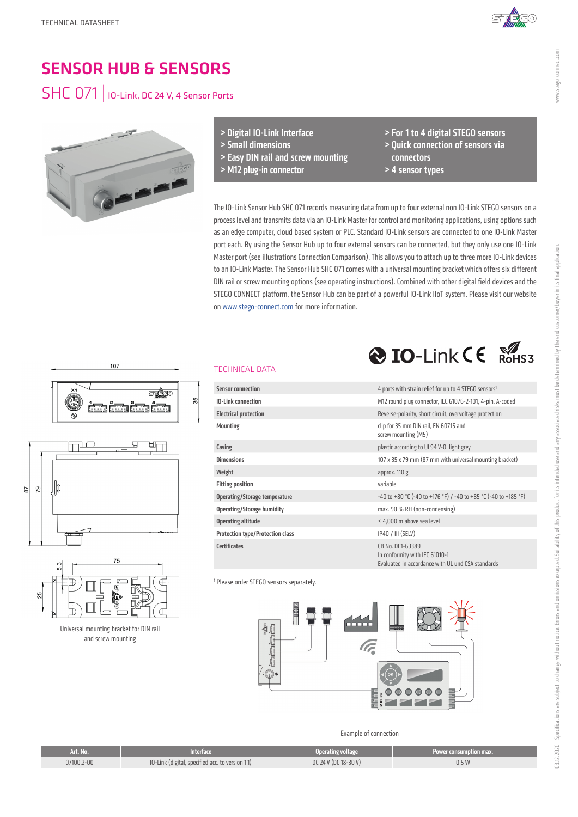

www.stego-connect.com

# SENSOR HUB & SENSORS

# SHC 071 | IO-Link, DC 24 V, 4 Sensor Ports



> Digital IO-Link Interface

- > Small dimensions
- > Easy DIN rail and screw mounting
- > M12 plug-in connector

TECHNICAL DATA

> For 1 to 4 digital STEGO sensors > Quick connection of sensors via connectors

 $\bigotimes$  IO-Link  $\bigcup_{\text{ROHS}3}$ 

> 4 sensor types

The IO-Link Sensor Hub SHC 071 records measuring data from up to four external non IO-Link STEGO sensors on a process level and transmits data via an IO-Link Master for control and monitoring applications, using options such as an edge computer, cloud based system or PLC. Standard IO-Link sensors are connected to one IO-Link Master port each. By using the Sensor Hub up to four external sensors can be connected, but they only use one IO-Link Master port (see illustrations Connection Comparison). This allows you to attach up to three more IO-Link devices to an IO-Link Master. The Sensor Hub SHC 071 comes with a universal mounting bracket which offers six different DIN rail or screw mounting options (see operating instructions). Combined with other digital field devices and the STEGO CONNECT platform, the Sensor Hub can be part of a powerful IO-Link IIoT system. Please visit our website on www.stego-connect.com for more information.







Universal mounting bracket for DIN rail and screw mounting

| <b>Sensor connection</b>                | 4 ports with strain relief for up to 4 STEGO sensors <sup>1</sup> |
|-----------------------------------------|-------------------------------------------------------------------|
| <b>IO-Link connection</b>               | M12 round plug connector, IEC 61076-2-101, 4-pin, A-coded         |
| <b>Electrical protection</b>            | Reverse-polarity, short circuit, overvoltage protection           |
| Mounting                                | clip for 35 mm DIN rail, EN 60715 and<br>screw mounting (M5)      |
| Casing                                  | plastic according to UL94 V-0, light grey                         |
| <b>Dimensions</b>                       | 107 x 35 x 79 mm (87 mm with universal mounting bracket)          |
| Weight                                  | approx. $110g$                                                    |
| <b>Fitting position</b>                 | variable                                                          |
| <b>Operating/Storage temperature</b>    | $-40$ to +80 °C (-40 to +176 °F) / -40 to +85 °C (-40 to +185 °F) |
| Operating/Storage humidity              | max. 90 % RH (non-condensing)                                     |
| Operating altitude                      | $\leq 4.000$ m above sea level                                    |
| <b>Protection type/Protection class</b> | IP40 / III (SELV)                                                 |

In conformity with IEC 61010-1

Evaluated in accordance with UL und CSA standards

1 Please order STEGO sensors separately.

Certifi cates CB No. DE1-63389



Example of connection

| Art. No.   | Interface                                        | Operating voltage    | Power consumption max. |
|------------|--------------------------------------------------|----------------------|------------------------|
| 07100.2-00 | IO-Link (digital, specified acc. to version 1.1) | DC 24 V (DC 18-30 V) | 0.5W                   |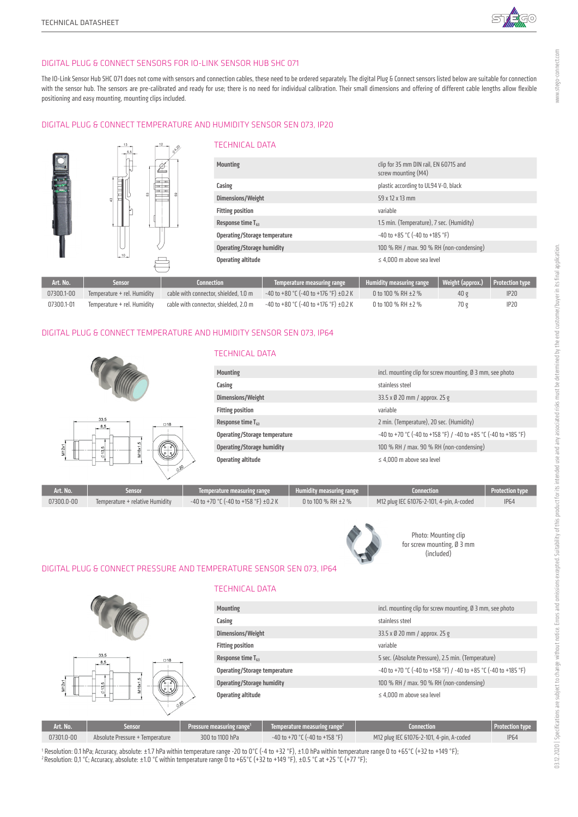

#### DIGITAL PLUG & CONNECT SENSORS FOR IO-LINK SENSOR HUB SHC 071

The IO-Link Sensor Hub SHC 071 does not come with sensors and connection cables, these need to be ordered separately. The digital Plug & Connect sensors listed below are suitable for connection with the sensor hub. The sensors are pre-calibrated and ready for use; there is no need for individual calibration. Their small dimensions and offering of different cable lengths allow flexible positioning and easy mounting, mounting clips included.

#### DIGITAL PLUG & CONNECT TEMPERATURE AND HUMIDITY SENSOR SEN 073, IP20



#### DIGITAL PLUG & CONNECT TEMPERATURE AND HUMIDITY SENSOR SEN 073, IP64



#### TECHNICAL DATA

| <b>Mounting</b>                   | incl. mounting clip for screw mounting, Ø 3 mm, see photo       |
|-----------------------------------|-----------------------------------------------------------------|
| Casing                            | stainless steel                                                 |
| Dimensions/Weight                 | 33.5 x Ø 20 mm / approx. 25 g                                   |
| <b>Fitting position</b>           | variable                                                        |
| Response time $T_{ss}$            | 2 min. (Temperature), 20 sec. (Humidity)                        |
| Operating/Storage temperature     | -40 to +70 °C (-40 to +158 °F) / -40 to +85 °C (-40 to +185 °F) |
| <b>Operating/Storage humidity</b> | 100 % RH / max. 90 % RH (non-condensing)                        |
| Operating altitude                | $\leq 4.000$ m above sea level                                  |

| Art. No.   | iensor                          | Temperature measuring range           | Humidity measuring range | Connection                               | <b>Protection type</b> |
|------------|---------------------------------|---------------------------------------|--------------------------|------------------------------------------|------------------------|
| 07300.0-00 | Temperature + relative Humidity | -40 to +70 °C (-40 to +158 °F) ±0.2 K | 0 to 100 % RH $\pm$ 2 %  | M12 plug IEC 61076-2-101, 4-pin, A-coded | <b>IP64</b>            |
|            |                                 |                                       |                          |                                          |                        |



Photo: Mounting clip for screw mounting, Ø 3 mm (included)

#### DIGITAL PLUG & CONNECT PRESSURE AND TEMPERATURE SENSOR SEN 073, IP64



#### TECHNICAL DATA

| <b>Mounting</b>                   | incl. mounting clip for screw mounting, Ø 3 mm, see photo       |
|-----------------------------------|-----------------------------------------------------------------|
| Casing                            | stainless steel                                                 |
| Dimensions/Weight                 | 33.5 x Ø 20 mm / approx. 25 g                                   |
| <b>Fitting position</b>           | variable                                                        |
| Response time $T_{63}$            | 5 sec. (Absolute Pressure), 2.5 min. (Temperature)              |
| Operating/Storage temperature     | -40 to +70 °C (-40 to +158 °F) / -40 to +85 °C (-40 to +185 °F) |
| <b>Operating/Storage humidity</b> | 100 % RH / max. 90 % RH (non-condensing)                        |
| Operating altitude                | $\leq 4,000$ m above sea level                                  |
|                                   |                                                                 |

| Art. No.   | iensor                          | Pressure measuring range <sup>1</sup> | $\parallel$ Temperature measuring range <sup>2</sup> | Connection                               | Protection type |
|------------|---------------------------------|---------------------------------------|------------------------------------------------------|------------------------------------------|-----------------|
| 07301.0-00 | Absolute Pressure + Temperature | 300 to 1100 hPa                       | $-40$ to $+70$ °C (-40 to $+158$ °F)                 | M12 plug IEC 61076-2-101, 4-pin, A-coded | <b>IP64</b>     |

1 Resolution: 0.1 hPa; Accuracy, absolute: ±1.7 hPa within temperature range -20 to 0°C (-4 to +32 °F), ±1.0 hPa within temperature range 0 to +65°C (+32 to +149 °F); 2 Resolution: 0,1 °C; Accuracy, absolute: ±1.0 °C within temperature range 0 to +65°C (+32 to +149 °F), ±0.5 °C at +25 °C (+77 °F);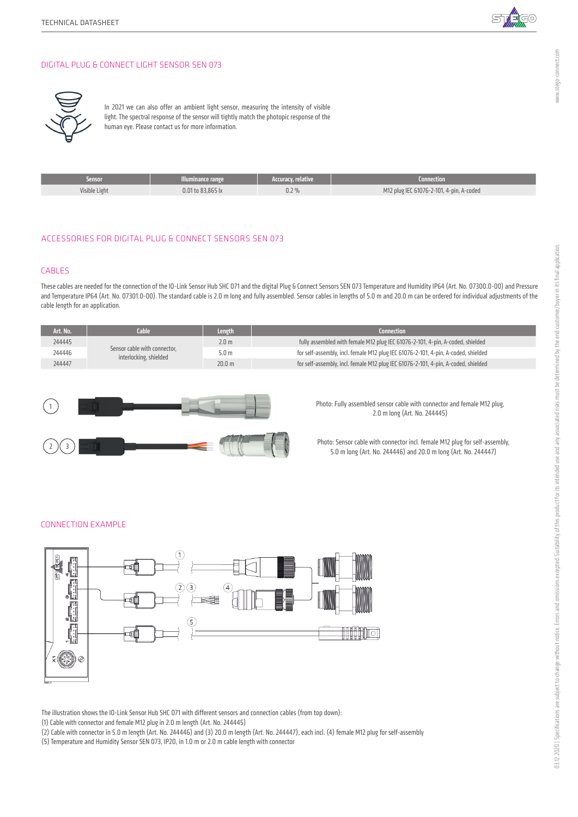

#### DIGITAL PLUG & CONNECT LIGHT SENSOR SEN 073



In 2021 we can also offer an ambient light sensor, measuring the intensity of visible light. The spectral response of the sensor will tightly match the photopic response of the human eye. Please contact us for more information.

| Sensor        | Illuminance range | 'Accuracy, relative, | Connection                               |
|---------------|-------------------|----------------------|------------------------------------------|
| Visible Light | 0.01 to 83.865 lx | 0.2%                 | M12 plug IEC 61076-2-101, 4-pin, A-coded |
|               |                   |                      |                                          |

### ACCESSORIES FOR DIGITAL PLUG & CONNECT SENSORS SEN 073

#### CABLES

These cables are needed for the connection of the IO-Link Sensor Hub SHC 071 and the digital Plug & Connect Sensors SEN 073 Temperature and Humidity IP64 (Art. No. 07300.0-00) and Pressure and Temperature IP64 (Art. No. 07301.0-00). The standard cable is 2.0 m long and fully assembled. Sensor cables in lengths of 5.0 m and 20.0 m can be ordered for individual adjustments of the cable length for an application.

| Art. No. | Cable                                                  | <b>Length</b>     | Connection                                                                         |
|----------|--------------------------------------------------------|-------------------|------------------------------------------------------------------------------------|
| 244445   |                                                        | 2.0 <sub>m</sub>  | fully assembled with female M12 plug IEC 61076-2-101, 4-pin, A-coded, shielded     |
| 244446   | Sensor cable with connector.<br>interlocking, shielded | 5.0 <sub>m</sub>  | for self-assembly, incl. female M12 plug IEC 61076-2-101, 4-pin, A-coded, shielded |
| 244447   |                                                        | 20.0 <sub>m</sub> | for self-assembly, incl. female M12 plug IEC 61076-2-101, 4-pin, A-coded, shielded |



Photo: Fully assembled sensor cable with connector and female M12 plug, 2.0 m long (Art. No. 244445)

Photo: Sensor cable with connector incl. female M12 plug for self-assembly, 5.0 m long (Art. No. 244446) and 20.0 m long (Art. No. 244447)

#### CONNECTION EXAMPLE



The illustration shows the IO-Link Sensor Hub SHC 071 with different sensors and connection cables (from top down):

(1) Cable with connector and female M12 plug in 2.0 m length (Art. No. 244445)

(2) Cable with connector in 5.0 m length (Art. No. 244446) and (3) 20.0 m length (Art. No. 244447), each incl. (4) female M12 plug for self-assembly

(5) Temperature and Humidity Sensor SEN 073, IP20, in 1.0 m or 2.0 m cable length with connector